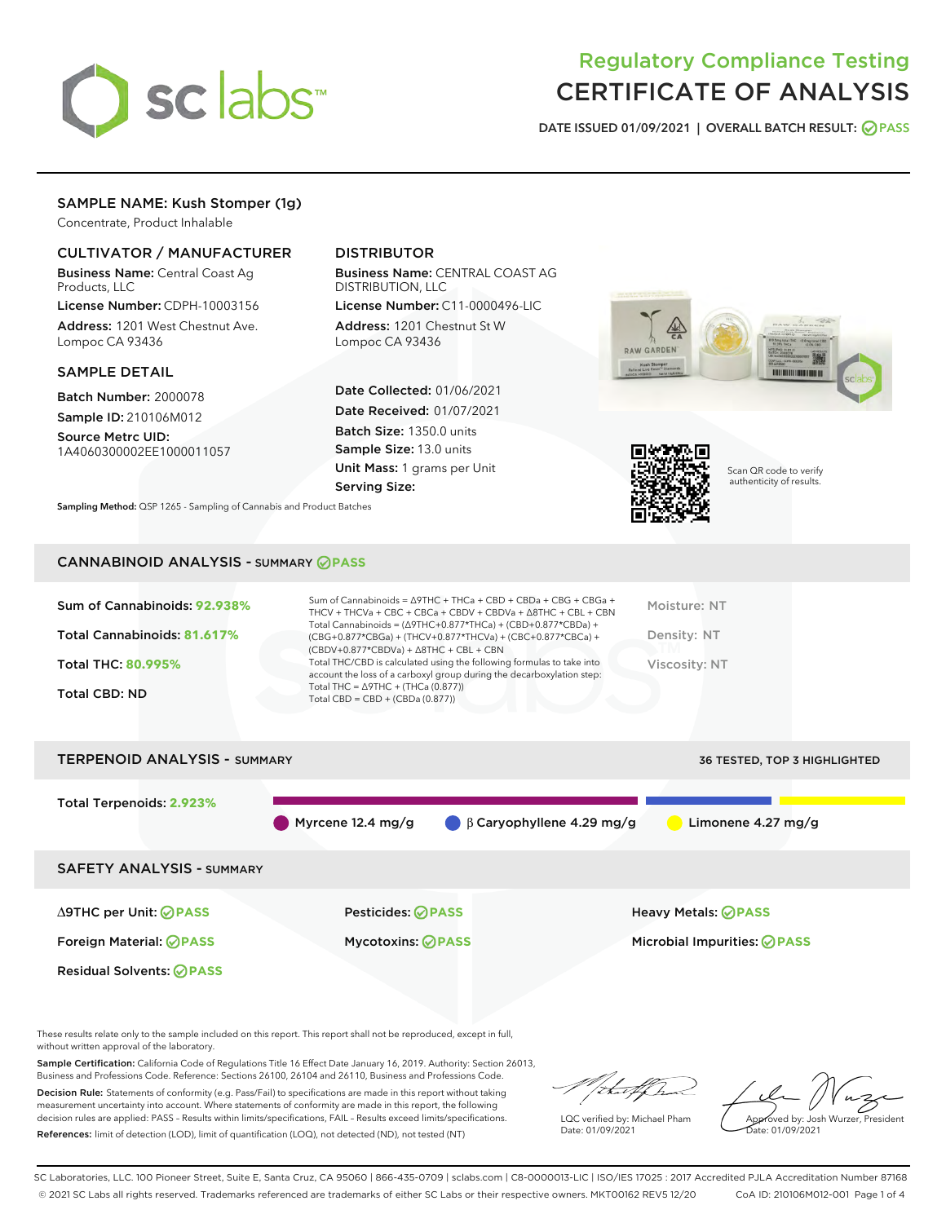

# Regulatory Compliance Testing CERTIFICATE OF ANALYSIS

DATE ISSUED 01/09/2021 | OVERALL BATCH RESULT: @ PASS

# SAMPLE NAME: Kush Stomper (1g)

Concentrate, Product Inhalable

# CULTIVATOR / MANUFACTURER

Business Name: Central Coast Ag Products, LLC

License Number: CDPH-10003156 Address: 1201 West Chestnut Ave. Lompoc CA 93436

### SAMPLE DETAIL

Batch Number: 2000078 Sample ID: 210106M012

Source Metrc UID: 1A4060300002EE1000011057

# DISTRIBUTOR

Business Name: CENTRAL COAST AG DISTRIBUTION, LLC

License Number: C11-0000496-LIC Address: 1201 Chestnut St W Lompoc CA 93436

Date Collected: 01/06/2021 Date Received: 01/07/2021 Batch Size: 1350.0 units Sample Size: 13.0 units Unit Mass: 1 grams per Unit Serving Size:





Scan QR code to verify authenticity of results.

Sampling Method: QSP 1265 - Sampling of Cannabis and Product Batches

# CANNABINOID ANALYSIS - SUMMARY **PASS**

| Sum of Cannabinoids: 92.938%<br>Total Cannabinoids: 81.617% | Sum of Cannabinoids = Δ9THC + THCa + CBD + CBDa + CBG + CBGa +<br>THCV + THCVa + CBC + CBCa + CBDV + CBDVa + $\Delta$ 8THC + CBL + CBN<br>Total Cannabinoids = $(\Delta$ 9THC+0.877*THCa) + (CBD+0.877*CBDa) +<br>(CBG+0.877*CBGa) + (THCV+0.877*THCVa) + (CBC+0.877*CBCa) +<br>$(CBDV+0.877*CBDVa) + \Delta 8THC + CBL + CBN$ | Moisture: NT<br>Density: NT |
|-------------------------------------------------------------|--------------------------------------------------------------------------------------------------------------------------------------------------------------------------------------------------------------------------------------------------------------------------------------------------------------------------------|-----------------------------|
| <b>Total THC: 80.995%</b>                                   | Total THC/CBD is calculated using the following formulas to take into<br>account the loss of a carboxyl group during the decarboxylation step:                                                                                                                                                                                 | Viscosity: NT               |
| Total CBD: ND                                               | Total THC = $\triangle$ 9THC + (THCa (0.877))<br>Total CBD = $CBD + (CBDa (0.877))$                                                                                                                                                                                                                                            |                             |

# TERPENOID ANALYSIS - SUMMARY 36 TESTED, TOP 3 HIGHLIGHTED Total Terpenoids: **2.923%** Myrcene 12.4 mg/g  $\qquad \qquad \beta$  Caryophyllene 4.29 mg/g Limonene 4.27 mg/g SAFETY ANALYSIS - SUMMARY ∆9THC per Unit: **PASS** Pesticides: **PASS** Heavy Metals: **PASS** Foreign Material: **PASS** Mycotoxins: **PASS** Microbial Impurities: **PASS** Residual Solvents: **OPASS**

These results relate only to the sample included on this report. This report shall not be reproduced, except in full, without written approval of the laboratory.

Sample Certification: California Code of Regulations Title 16 Effect Date January 16, 2019. Authority: Section 26013, Business and Professions Code. Reference: Sections 26100, 26104 and 26110, Business and Professions Code.

Decision Rule: Statements of conformity (e.g. Pass/Fail) to specifications are made in this report without taking measurement uncertainty into account. Where statements of conformity are made in this report, the following decision rules are applied: PASS – Results within limits/specifications, FAIL – Results exceed limits/specifications. References: limit of detection (LOD), limit of quantification (LOQ), not detected (ND), not tested (NT)

ih.aff

LQC verified by: Michael Pham Date: 01/09/2021

Approved by: Josh Wurzer, President ate: 01/09/2021

SC Laboratories, LLC. 100 Pioneer Street, Suite E, Santa Cruz, CA 95060 | 866-435-0709 | sclabs.com | C8-0000013-LIC | ISO/IES 17025 : 2017 Accredited PJLA Accreditation Number 87168 © 2021 SC Labs all rights reserved. Trademarks referenced are trademarks of either SC Labs or their respective owners. MKT00162 REV5 12/20 CoA ID: 210106M012-001 Page 1 of 4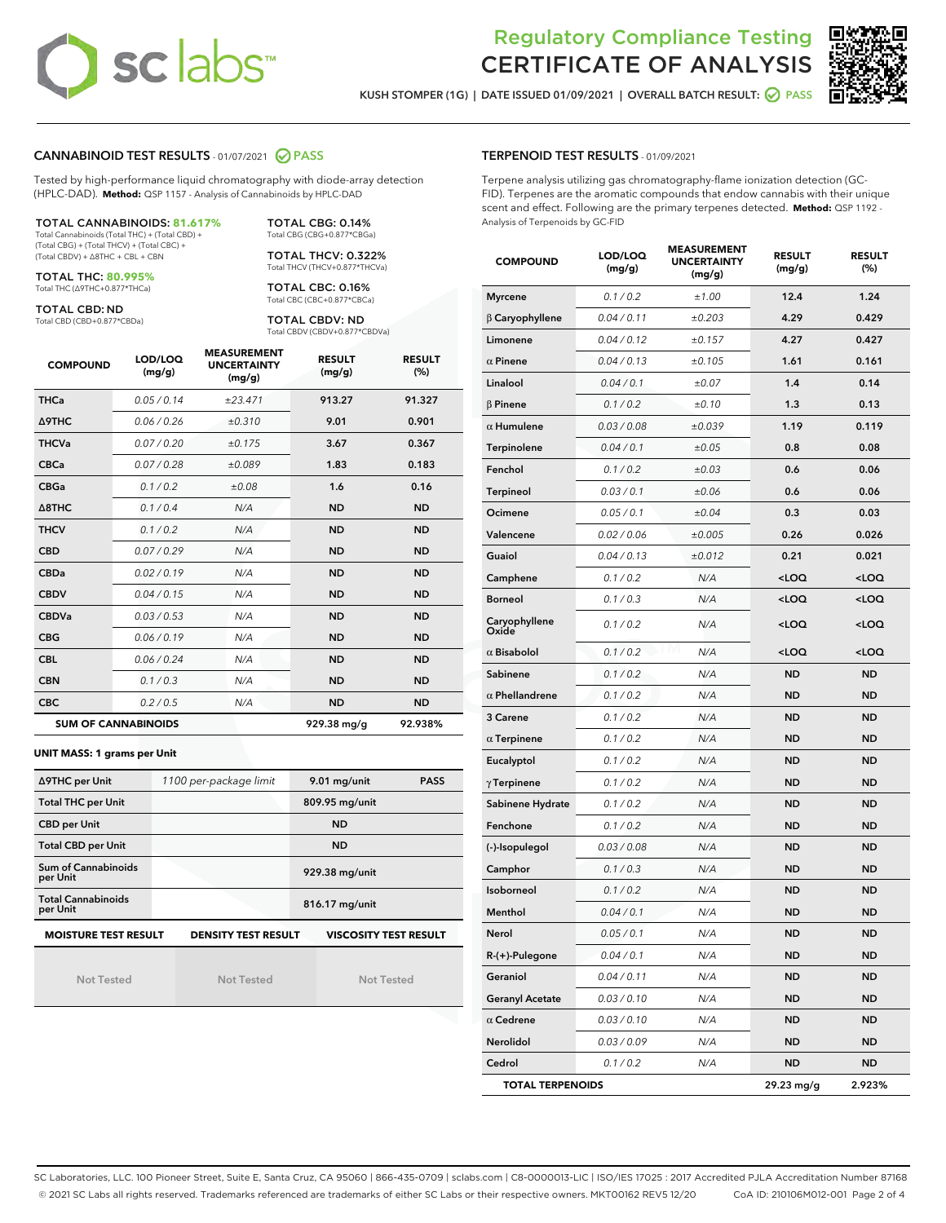# sc labs™

# Regulatory Compliance Testing CERTIFICATE OF ANALYSIS

KUSH STOMPER (1G) | DATE ISSUED 01/09/2021 | OVERALL BATCH RESULT: @ PASS



# CANNABINOID TEST RESULTS - 01/07/2021 2 PASS

Tested by high-performance liquid chromatography with diode-array detection (HPLC-DAD). **Method:** QSP 1157 - Analysis of Cannabinoids by HPLC-DAD

# TOTAL CANNABINOIDS: **81.617%**

Total Cannabinoids (Total THC) + (Total CBD) + (Total CBG) + (Total THCV) + (Total CBC) + (Total CBDV) + ∆8THC + CBL + CBN

TOTAL THC: **80.995%** Total THC (∆9THC+0.877\*THCa)

TOTAL CBD: ND

Total CBD (CBD+0.877\*CBDa)

TOTAL CBG: 0.14% Total CBG (CBG+0.877\*CBGa) TOTAL THCV: 0.322%

Total THCV (THCV+0.877\*THCVa) TOTAL CBC: 0.16% Total CBC (CBC+0.877\*CBCa)

TOTAL CBDV: ND Total CBDV (CBDV+0.877\*CBDVa)

| <b>COMPOUND</b> | LOD/LOQ<br>(mg/g)          | <b>MEASUREMENT</b><br><b>UNCERTAINTY</b><br>(mg/g) | <b>RESULT</b><br>(mg/g) | <b>RESULT</b><br>(%) |
|-----------------|----------------------------|----------------------------------------------------|-------------------------|----------------------|
| <b>THCa</b>     | 0.05 / 0.14                | ±23.471                                            | 913.27                  | 91.327               |
| <b>A9THC</b>    | 0.06 / 0.26                | ±0.310                                             | 9.01                    | 0.901                |
| <b>THCVa</b>    | 0.07/0.20                  | ±0.175                                             | 3.67                    | 0.367                |
| <b>CBCa</b>     | 0.07/0.28                  | ±0.089                                             | 1.83                    | 0.183                |
| <b>CBGa</b>     | 0.1/0.2                    | ±0.08                                              | 1.6                     | 0.16                 |
| A8THC           | 0.1 / 0.4                  | N/A                                                | <b>ND</b>               | <b>ND</b>            |
| <b>THCV</b>     | 0.1/0.2                    | N/A                                                | <b>ND</b>               | <b>ND</b>            |
| <b>CBD</b>      | 0.07/0.29                  | N/A                                                | <b>ND</b>               | <b>ND</b>            |
| <b>CBDa</b>     | 0.02/0.19                  | N/A                                                | <b>ND</b>               | <b>ND</b>            |
| <b>CBDV</b>     | 0.04 / 0.15                | N/A                                                | <b>ND</b>               | <b>ND</b>            |
| <b>CBDVa</b>    | 0.03/0.53                  | N/A                                                | <b>ND</b>               | <b>ND</b>            |
| <b>CBG</b>      | 0.06/0.19                  | N/A                                                | <b>ND</b>               | <b>ND</b>            |
| <b>CBL</b>      | 0.06 / 0.24                | N/A                                                | <b>ND</b>               | <b>ND</b>            |
| <b>CBN</b>      | 0.1/0.3                    | N/A                                                | <b>ND</b>               | <b>ND</b>            |
| <b>CBC</b>      | 0.2 / 0.5                  | N/A                                                | <b>ND</b>               | <b>ND</b>            |
|                 | <b>SUM OF CANNABINOIDS</b> |                                                    | 929.38 mg/g             | 92.938%              |

#### **UNIT MASS: 1 grams per Unit**

| ∆9THC per Unit                                                                            | 1100 per-package limit | 9.01 mg/unit<br><b>PASS</b> |  |  |  |
|-------------------------------------------------------------------------------------------|------------------------|-----------------------------|--|--|--|
| <b>Total THC per Unit</b>                                                                 |                        | 809.95 mg/unit              |  |  |  |
| <b>CBD per Unit</b>                                                                       |                        | <b>ND</b>                   |  |  |  |
| <b>Total CBD per Unit</b>                                                                 |                        | <b>ND</b>                   |  |  |  |
| Sum of Cannabinoids<br>per Unit                                                           |                        | 929.38 mg/unit              |  |  |  |
| <b>Total Cannabinoids</b><br>per Unit                                                     |                        | 816.17 mg/unit              |  |  |  |
| <b>MOISTURE TEST RESULT</b><br><b>VISCOSITY TEST RESULT</b><br><b>DENSITY TEST RESULT</b> |                        |                             |  |  |  |

Not Tested

Not Tested

Not Tested

#### TERPENOID TEST RESULTS - 01/09/2021

Terpene analysis utilizing gas chromatography-flame ionization detection (GC-FID). Terpenes are the aromatic compounds that endow cannabis with their unique scent and effect. Following are the primary terpenes detected. **Method:** QSP 1192 - Analysis of Terpenoids by GC-FID

| <b>COMPOUND</b>         | LOD/LOQ<br>(mg/g) | <b>MEASUREMENT</b><br><b>UNCERTAINTY</b><br>(mg/g) | <b>RESULT</b><br>(mg/g)                         | <b>RESULT</b><br>(%) |
|-------------------------|-------------------|----------------------------------------------------|-------------------------------------------------|----------------------|
| <b>Myrcene</b>          | 0.1 / 0.2         | ±1.00                                              | 12.4                                            | 1.24                 |
| $\beta$ Caryophyllene   | 0.04 / 0.11       | ±0.203                                             | 4.29                                            | 0.429                |
| Limonene                | 0.04 / 0.12       | ±0.157                                             | 4.27                                            | 0.427                |
| $\alpha$ Pinene         | 0.04 / 0.13       | ±0.105                                             | 1.61                                            | 0.161                |
| Linalool                | 0.04 / 0.1        | ±0.07                                              | 1.4                                             | 0.14                 |
| <b>B</b> Pinene         | 0.1 / 0.2         | ±0.10                                              | 1.3                                             | 0.13                 |
| $\alpha$ Humulene       | 0.03 / 0.08       | ±0.039                                             | 1.19                                            | 0.119                |
| Terpinolene             | 0.04 / 0.1        | ±0.05                                              | 0.8                                             | 0.08                 |
| Fenchol                 | 0.1 / 0.2         | ±0.03                                              | 0.6                                             | 0.06                 |
| Terpineol               | 0.03 / 0.1        | ±0.06                                              | 0.6                                             | 0.06                 |
| Ocimene                 | 0.05 / 0.1        | ±0.04                                              | 0.3                                             | 0.03                 |
| Valencene               | 0.02 / 0.06       | ±0.005                                             | 0.26                                            | 0.026                |
| Guaiol                  | 0.04 / 0.13       | ±0.012                                             | 0.21                                            | 0.021                |
| Camphene                | 0.1 / 0.2         | N/A                                                | <loq< th=""><th><loq< th=""></loq<></th></loq<> | <loq< th=""></loq<>  |
| <b>Borneol</b>          | 0.1 / 0.3         | N/A                                                | <loq< th=""><th><loq< th=""></loq<></th></loq<> | <loq< th=""></loq<>  |
| Caryophyllene<br>Oxide  | 0.1 / 0.2         | N/A                                                | <loq< th=""><th><loq< th=""></loq<></th></loq<> | <loq< th=""></loq<>  |
| $\alpha$ Bisabolol      | 0.1 / 0.2         | N/A                                                | <loq< th=""><th><loq< th=""></loq<></th></loq<> | <loq< th=""></loq<>  |
| Sabinene                | 0.1 / 0.2         | N/A                                                | <b>ND</b>                                       | <b>ND</b>            |
| $\alpha$ Phellandrene   | 0.1 / 0.2         | N/A                                                | <b>ND</b>                                       | <b>ND</b>            |
| 3 Carene                | 0.1 / 0.2         | N/A                                                | <b>ND</b>                                       | ND                   |
| $\alpha$ Terpinene      | 0.1 / 0.2         | N/A                                                | <b>ND</b>                                       | <b>ND</b>            |
| Eucalyptol              | 0.1 / 0.2         | N/A                                                | <b>ND</b>                                       | <b>ND</b>            |
| $\gamma$ Terpinene      | 0.1 / 0.2         | N/A                                                | <b>ND</b>                                       | <b>ND</b>            |
| Sabinene Hydrate        | 0.1 / 0.2         | N/A                                                | ND                                              | <b>ND</b>            |
| Fenchone                | 0.1 / 0.2         | N/A                                                | <b>ND</b>                                       | <b>ND</b>            |
| (-)-Isopulegol          | 0.03 / 0.08       | N/A                                                | <b>ND</b>                                       | ND                   |
| Camphor                 | 0.1 / 0.3         | N/A                                                | ND                                              | <b>ND</b>            |
| <b>Isoborneol</b>       | 0.1 / 0.2         | N/A                                                | <b>ND</b>                                       | <b>ND</b>            |
| Menthol                 | 0.04 / 0.1        | N/A                                                | <b>ND</b>                                       | <b>ND</b>            |
| Nerol                   | 0.05 / 0.1        | N/A                                                | <b>ND</b>                                       | <b>ND</b>            |
| R-(+)-Pulegone          | 0.04 / 0.1        | N/A                                                | ND                                              | ND                   |
| Geraniol                | 0.04 / 0.11       | N/A                                                | ND                                              | ND                   |
| <b>Geranyl Acetate</b>  | 0.03 / 0.10       | N/A                                                | ND                                              | ND                   |
| $\alpha$ Cedrene        | 0.03 / 0.10       | N/A                                                | ND                                              | ND                   |
| Nerolidol               | 0.03 / 0.09       | N/A                                                | ND                                              | <b>ND</b>            |
| Cedrol                  | 0.1 / 0.2         | N/A                                                | <b>ND</b>                                       | ND                   |
| <b>TOTAL TERPENOIDS</b> |                   |                                                    | 29.23 mg/g                                      | 2.923%               |

SC Laboratories, LLC. 100 Pioneer Street, Suite E, Santa Cruz, CA 95060 | 866-435-0709 | sclabs.com | C8-0000013-LIC | ISO/IES 17025 : 2017 Accredited PJLA Accreditation Number 87168 © 2021 SC Labs all rights reserved. Trademarks referenced are trademarks of either SC Labs or their respective owners. MKT00162 REV5 12/20 CoA ID: 210106M012-001 Page 2 of 4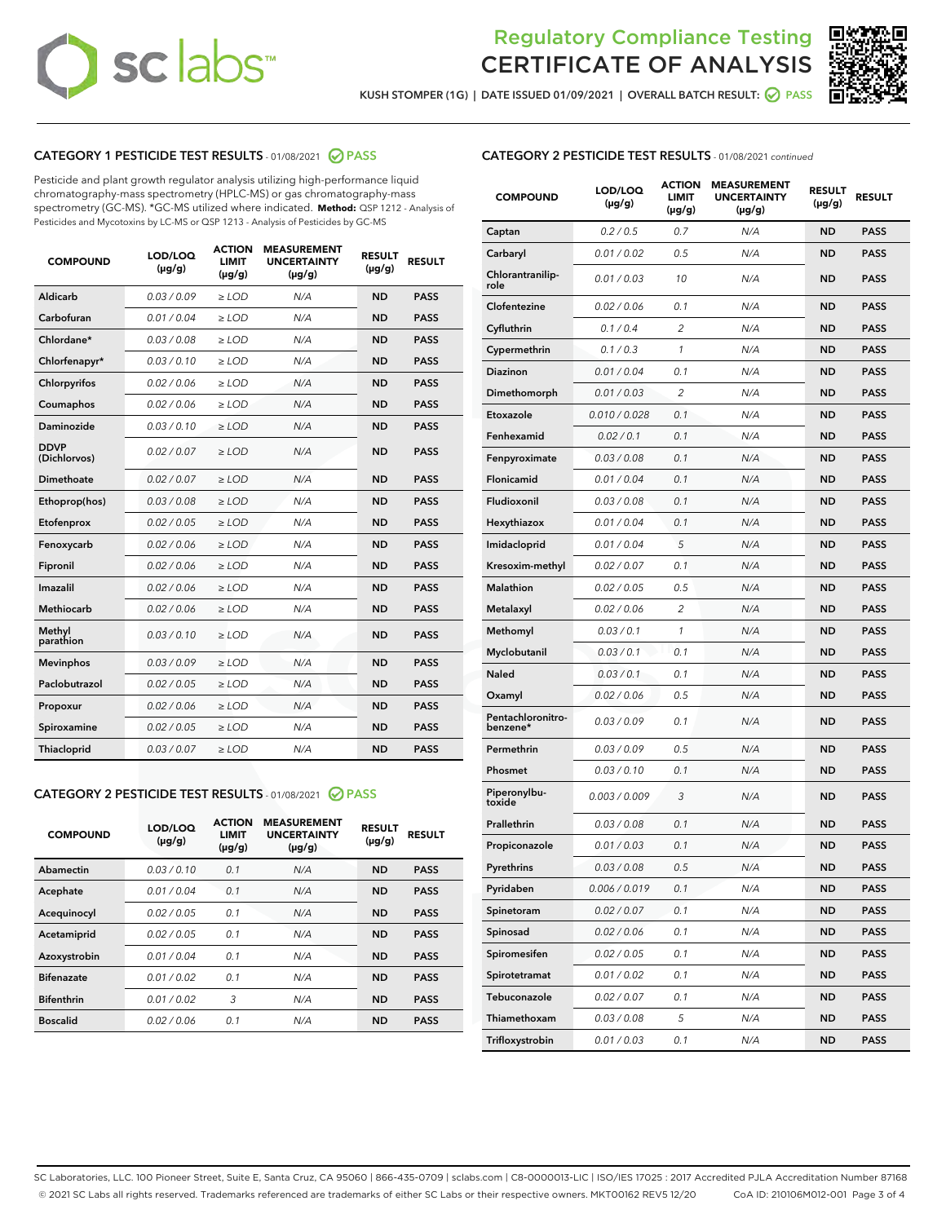# sclabs<sup>®</sup>

# Regulatory Compliance Testing CERTIFICATE OF ANALYSIS



KUSH STOMPER (1G) | DATE ISSUED 01/09/2021 | OVERALL BATCH RESULT: @ PASS

# CATEGORY 1 PESTICIDE TEST RESULTS - 01/08/2021 @ PASS

Pesticide and plant growth regulator analysis utilizing high-performance liquid chromatography-mass spectrometry (HPLC-MS) or gas chromatography-mass spectrometry (GC-MS). \*GC-MS utilized where indicated. **Method:** QSP 1212 - Analysis of Pesticides and Mycotoxins by LC-MS or QSP 1213 - Analysis of Pesticides by GC-MS

| <b>COMPOUND</b>             | LOD/LOQ<br>$(\mu g/g)$ | <b>ACTION</b><br>LIMIT<br>$(\mu q/q)$ | <b>MEASUREMENT</b><br><b>UNCERTAINTY</b><br>$(\mu g/g)$ | <b>RESULT</b><br>$(\mu g/g)$ | <b>RESULT</b> |
|-----------------------------|------------------------|---------------------------------------|---------------------------------------------------------|------------------------------|---------------|
| Aldicarb                    | 0.03/0.09              | $\ge$ LOD                             | N/A                                                     | <b>ND</b>                    | <b>PASS</b>   |
| Carbofuran                  | 0.01 / 0.04            | $>$ LOD                               | N/A                                                     | <b>ND</b>                    | <b>PASS</b>   |
| Chlordane*                  | 0.03 / 0.08            | ≥ LOD                                 | N/A                                                     | <b>ND</b>                    | <b>PASS</b>   |
| Chlorfenapyr*               | 0.03/0.10              | $\ge$ LOD                             | N/A                                                     | <b>ND</b>                    | <b>PASS</b>   |
| Chlorpyrifos                | 0.02 / 0.06            | $\geq$ LOD                            | N/A                                                     | <b>ND</b>                    | <b>PASS</b>   |
| Coumaphos                   | 0.02 / 0.06            | $\geq$ LOD                            | N/A                                                     | <b>ND</b>                    | <b>PASS</b>   |
| Daminozide                  | 0.03/0.10              | $\ge$ LOD                             | N/A                                                     | <b>ND</b>                    | <b>PASS</b>   |
| <b>DDVP</b><br>(Dichlorvos) | 0.02 / 0.07            | $\geq$ LOD                            | N/A                                                     | <b>ND</b>                    | <b>PASS</b>   |
| Dimethoate                  | 0.02 / 0.07            | $\geq$ LOD                            | N/A                                                     | <b>ND</b>                    | <b>PASS</b>   |
| Ethoprop(hos)               | 0.03 / 0.08            | ≥ LOD                                 | N/A                                                     | <b>ND</b>                    | <b>PASS</b>   |
| Etofenprox                  | 0.02 / 0.05            | $\geq$ LOD                            | N/A                                                     | <b>ND</b>                    | <b>PASS</b>   |
| Fenoxycarb                  | 0.02 / 0.06            | $\geq$ LOD                            | N/A                                                     | <b>ND</b>                    | <b>PASS</b>   |
| Fipronil                    | 0.02 / 0.06            | $\geq$ LOD                            | N/A                                                     | <b>ND</b>                    | <b>PASS</b>   |
| Imazalil                    | 0.02 / 0.06            | $\geq$ LOD                            | N/A                                                     | <b>ND</b>                    | <b>PASS</b>   |
| Methiocarb                  | 0.02 / 0.06            | ≥ LOD                                 | N/A                                                     | <b>ND</b>                    | <b>PASS</b>   |
| Methyl<br>parathion         | 0.03/0.10              | $\ge$ LOD                             | N/A                                                     | <b>ND</b>                    | <b>PASS</b>   |
| <b>Mevinphos</b>            | 0.03/0.09              | $\geq$ LOD                            | N/A                                                     | <b>ND</b>                    | <b>PASS</b>   |
| Paclobutrazol               | 0.02 / 0.05            | $\geq$ LOD                            | N/A                                                     | <b>ND</b>                    | <b>PASS</b>   |
| Propoxur                    | 0.02 / 0.06            | ≥ LOD                                 | N/A                                                     | <b>ND</b>                    | <b>PASS</b>   |
| Spiroxamine                 | 0.02 / 0.05            | $\geq$ LOD                            | N/A                                                     | <b>ND</b>                    | <b>PASS</b>   |
| Thiacloprid                 | 0.03 / 0.07            | $\geq$ LOD                            | N/A                                                     | <b>ND</b>                    | <b>PASS</b>   |
|                             |                        |                                       |                                                         |                              |               |

# CATEGORY 2 PESTICIDE TEST RESULTS - 01/08/2021 @ PASS

| <b>COMPOUND</b>   | LOD/LOQ<br>$(\mu g/g)$ | <b>ACTION</b><br>LIMIT<br>$(\mu g/g)$ | <b>MEASUREMENT</b><br><b>UNCERTAINTY</b><br>$(\mu g/g)$ | <b>RESULT</b><br>$(\mu g/g)$ | <b>RESULT</b> |
|-------------------|------------------------|---------------------------------------|---------------------------------------------------------|------------------------------|---------------|
| Abamectin         | 0.03/0.10              | 0.1                                   | N/A                                                     | <b>ND</b>                    | <b>PASS</b>   |
| Acephate          | 0.01/0.04              | 0.1                                   | N/A                                                     | <b>ND</b>                    | <b>PASS</b>   |
| Acequinocyl       | 0.02/0.05              | 0.1                                   | N/A                                                     | <b>ND</b>                    | <b>PASS</b>   |
| Acetamiprid       | 0.02/0.05              | 0.1                                   | N/A                                                     | <b>ND</b>                    | <b>PASS</b>   |
| Azoxystrobin      | 0.01/0.04              | 0.1                                   | N/A                                                     | <b>ND</b>                    | <b>PASS</b>   |
| <b>Bifenazate</b> | 0.01/0.02              | 0.1                                   | N/A                                                     | <b>ND</b>                    | <b>PASS</b>   |
| <b>Bifenthrin</b> | 0.01/0.02              | 3                                     | N/A                                                     | <b>ND</b>                    | <b>PASS</b>   |
| <b>Boscalid</b>   | 0.02/0.06              | 0.1                                   | N/A                                                     | <b>ND</b>                    | <b>PASS</b>   |
|                   |                        |                                       |                                                         |                              |               |

| <b>CATEGORY 2 PESTICIDE TEST RESULTS</b> - 01/08/2021 continued |
|-----------------------------------------------------------------|
|-----------------------------------------------------------------|

| <b>COMPOUND</b>               | LOD/LOQ<br>$(\mu g/g)$ | <b>ACTION</b><br>LIMIT<br>$(\mu g/g)$ | <b>MEASUREMENT</b><br><b>UNCERTAINTY</b><br>(µg/g) | <b>RESULT</b><br>(µg/g) | <b>RESULT</b> |
|-------------------------------|------------------------|---------------------------------------|----------------------------------------------------|-------------------------|---------------|
| Captan                        | 0.2 / 0.5              | 0.7                                   | N/A                                                | ND                      | <b>PASS</b>   |
| Carbaryl                      | 0.01 / 0.02            | 0.5                                   | N/A                                                | ND                      | PASS          |
| Chlorantranilip-<br>role      | 0.01 / 0.03            | 10                                    | N/A                                                | ND                      | <b>PASS</b>   |
| Clofentezine                  | 0.02 / 0.06            | 0.1                                   | N/A                                                | ND                      | <b>PASS</b>   |
| Cyfluthrin                    | 0.1/0.4                | 2                                     | N/A                                                | <b>ND</b>               | <b>PASS</b>   |
| Cypermethrin                  | 0.1 / 0.3              | 1                                     | N/A                                                | ND                      | <b>PASS</b>   |
| <b>Diazinon</b>               | 0.01 / 0.04            | 0.1                                   | N/A                                                | ND                      | <b>PASS</b>   |
| Dimethomorph                  | 0.01 / 0.03            | 2                                     | N/A                                                | ND                      | <b>PASS</b>   |
| Etoxazole                     | 0.010 / 0.028          | 0.1                                   | N/A                                                | ND                      | <b>PASS</b>   |
| Fenhexamid                    | 0.02 / 0.1             | 0.1                                   | N/A                                                | ND                      | PASS          |
| Fenpyroximate                 | 0.03 / 0.08            | 0.1                                   | N/A                                                | <b>ND</b>               | <b>PASS</b>   |
| Flonicamid                    | 0.01 / 0.04            | 0.1                                   | N/A                                                | ND                      | <b>PASS</b>   |
| Fludioxonil                   | 0.03 / 0.08            | 0.1                                   | N/A                                                | ND                      | <b>PASS</b>   |
| Hexythiazox                   | 0.01 / 0.04            | 0.1                                   | N/A                                                | ND                      | <b>PASS</b>   |
| Imidacloprid                  | 0.01 / 0.04            | 5                                     | N/A                                                | ND                      | <b>PASS</b>   |
| Kresoxim-methyl               | 0.02 / 0.07            | 0.1                                   | N/A                                                | ND                      | PASS          |
| Malathion                     | 0.02 / 0.05            | 0.5                                   | N/A                                                | <b>ND</b>               | <b>PASS</b>   |
| Metalaxyl                     | 0.02 / 0.06            | $\overline{c}$                        | N/A                                                | ND                      | <b>PASS</b>   |
| Methomyl                      | 0.03 / 0.1             | 1                                     | N/A                                                | ND                      | PASS          |
| Myclobutanil                  | 0.03 / 0.1             | 0.1                                   | N/A                                                | ND                      | <b>PASS</b>   |
| Naled                         | 0.03 / 0.1             | 0.1                                   | N/A                                                | ND                      | <b>PASS</b>   |
| Oxamyl                        | 0.02 / 0.06            | 0.5                                   | N/A                                                | ND                      | PASS          |
| Pentachloronitro-<br>benzene* | 0.03/0.09              | 0.1                                   | N/A                                                | ND                      | PASS          |
| Permethrin                    | 0.03/0.09              | 0.5                                   | N/A                                                | ND                      | PASS          |
| Phosmet                       | 0.03 / 0.10            | 0.1                                   | N/A                                                | ND                      | <b>PASS</b>   |
| Piperonylbu-<br>toxide        | 0.003 / 0.009          | 3                                     | N/A                                                | ND                      | <b>PASS</b>   |
| Prallethrin                   | 0.03 / 0.08            | 0.1                                   | N/A                                                | ND                      | <b>PASS</b>   |
| Propiconazole                 | 0.01 / 0.03            | 0.1                                   | N/A                                                | ND                      | <b>PASS</b>   |
| Pyrethrins                    | 0.03 / 0.08            | 0.5                                   | N/A                                                | <b>ND</b>               | <b>PASS</b>   |
| Pyridaben                     | 0.006 / 0.019          | 0.1                                   | N/A                                                | ND                      | PASS          |
| Spinetoram                    | 0.02 / 0.07            | 0.1                                   | N/A                                                | ND                      | <b>PASS</b>   |
| Spinosad                      | 0.02 / 0.06            | 0.1                                   | N/A                                                | ND                      | <b>PASS</b>   |
| Spiromesifen                  | 0.02 / 0.05            | 0.1                                   | N/A                                                | ND                      | <b>PASS</b>   |
| Spirotetramat                 | 0.01 / 0.02            | 0.1                                   | N/A                                                | ND                      | <b>PASS</b>   |
| Tebuconazole                  | 0.02 / 0.07            | 0.1                                   | N/A                                                | ND                      | <b>PASS</b>   |
| Thiamethoxam                  | 0.03 / 0.08            | 5                                     | N/A                                                | <b>ND</b>               | PASS          |
| Trifloxystrobin               | 0.01 / 0.03            | 0.1                                   | N/A                                                | ND                      | <b>PASS</b>   |